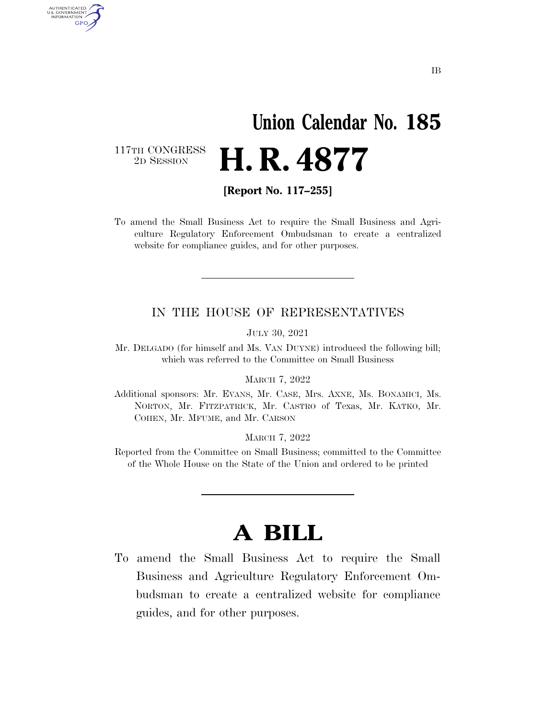# **Union Calendar No. 185**  2D SESSION **H. R. 4877**

117TH CONGRESS<br>2D SESSION

AUTHENTICATED U.S. GOVERNMENT **GPO** 

**[Report No. 117–255]** 

To amend the Small Business Act to require the Small Business and Agriculture Regulatory Enforcement Ombudsman to create a centralized website for compliance guides, and for other purposes.

#### IN THE HOUSE OF REPRESENTATIVES

JULY 30, 2021

Mr. DELGADO (for himself and Ms. VAN DUYNE) introduced the following bill; which was referred to the Committee on Small Business

MARCH 7, 2022

Additional sponsors: Mr. EVANS, Mr. CASE, Mrs. AXNE, Ms. BONAMICI, Ms. NORTON, Mr. FITZPATRICK, Mr. CASTRO of Texas, Mr. KATKO, Mr. COHEN, Mr. MFUME, and Mr. CARSON

MARCH 7, 2022

Reported from the Committee on Small Business; committed to the Committee of the Whole House on the State of the Union and ordered to be printed

### **A BILL**

To amend the Small Business Act to require the Small Business and Agriculture Regulatory Enforcement Ombudsman to create a centralized website for compliance guides, and for other purposes.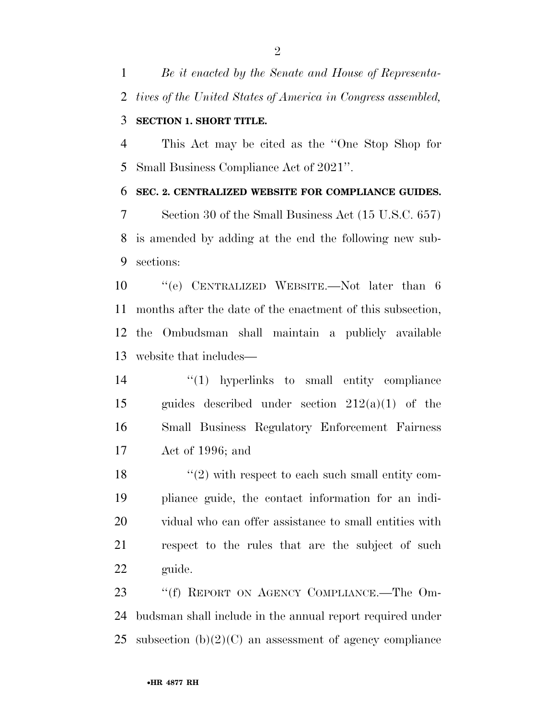*Be it enacted by the Senate and House of Representa-tives of the United States of America in Congress assembled,* 

### **SECTION 1. SHORT TITLE.**

 This Act may be cited as the ''One Stop Shop for Small Business Compliance Act of 2021''.

#### **SEC. 2. CENTRALIZED WEBSITE FOR COMPLIANCE GUIDES.**

 Section 30 of the Small Business Act (15 U.S.C. 657) is amended by adding at the end the following new sub-sections:

 ''(e) CENTRALIZED WEBSITE.—Not later than 6 months after the date of the enactment of this subsection, the Ombudsman shall maintain a publicly available website that includes—

 ''(1) hyperlinks to small entity compliance guides described under section 212(a)(1) of the Small Business Regulatory Enforcement Fairness Act of 1996; and

 $\frac{12}{2}$  with respect to each such small entity com- pliance guide, the contact information for an indi- vidual who can offer assistance to small entities with respect to the rules that are the subject of such guide.

23 "'(f) REPORT ON AGENCY COMPLIANCE.—The Om- budsman shall include in the annual report required under 25 subsection  $(b)(2)(C)$  an assessment of agency compliance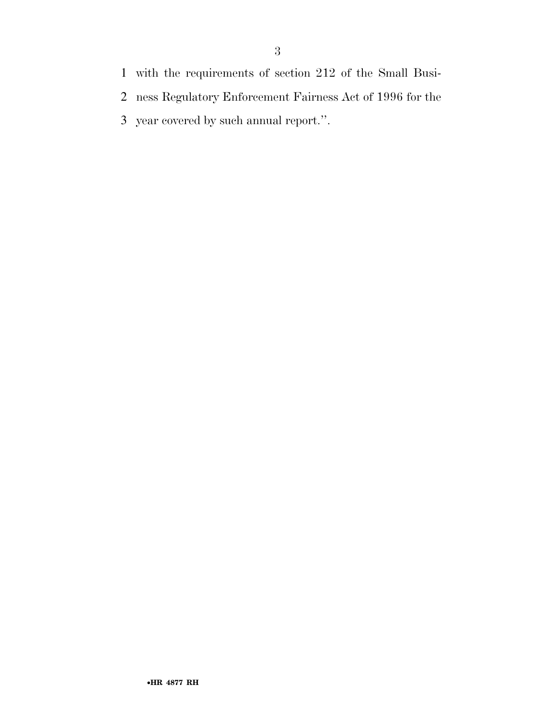- with the requirements of section 212 of the Small Busi-
- ness Regulatory Enforcement Fairness Act of 1996 for the
- year covered by such annual report.''.